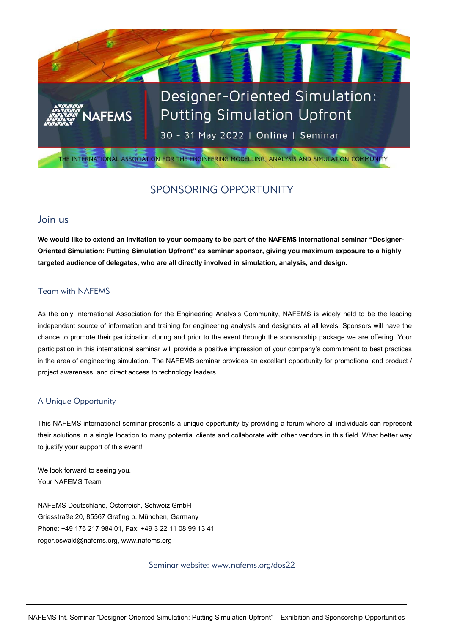

# SPONSORING OPPORTUNITY

## Join us

**We would like to extend an invitation to your company to be part of the NAFEMS international seminar "Designer-Oriented Simulation: Putting Simulation Upfront" as seminar sponsor, giving you maximum exposure to a highly targeted audience of delegates, who are all directly involved in simulation, analysis, and design.**

#### Team with NAFEMS

As the only International Association for the Engineering Analysis Community, NAFEMS is widely held to be the leading independent source of information and training for engineering analysts and designers at all levels. Sponsors will have the chance to promote their participation during and prior to the event through the sponsorship package we are offering. Your participation in this international seminar will provide a positive impression of your company's commitment to best practices in the area of engineering simulation. The NAFEMS seminar provides an excellent opportunity for promotional and product / project awareness, and direct access to technology leaders.

### A Unique Opportunity

This NAFEMS international seminar presents a unique opportunity by providing a forum where all individuals can represent their solutions in a single location to many potential clients and collaborate with other vendors in this field. What better way to justify your support of this event!

We look forward to seeing you. Your NAFEMS Team

NAFEMS Deutschland, Österreich, Schweiz GmbH Griesstraße 20, 85567 Grafing b. München, Germany Phone: +49 176 217 984 01, Fax: +49 3 22 11 08 99 13 41 [roger.oswald@nafems.org,](mailto:roger.oswald@nafems.org) [www.nafems.org](http://www.nafems.org/)

Seminar website: www.nafems.org/dos22